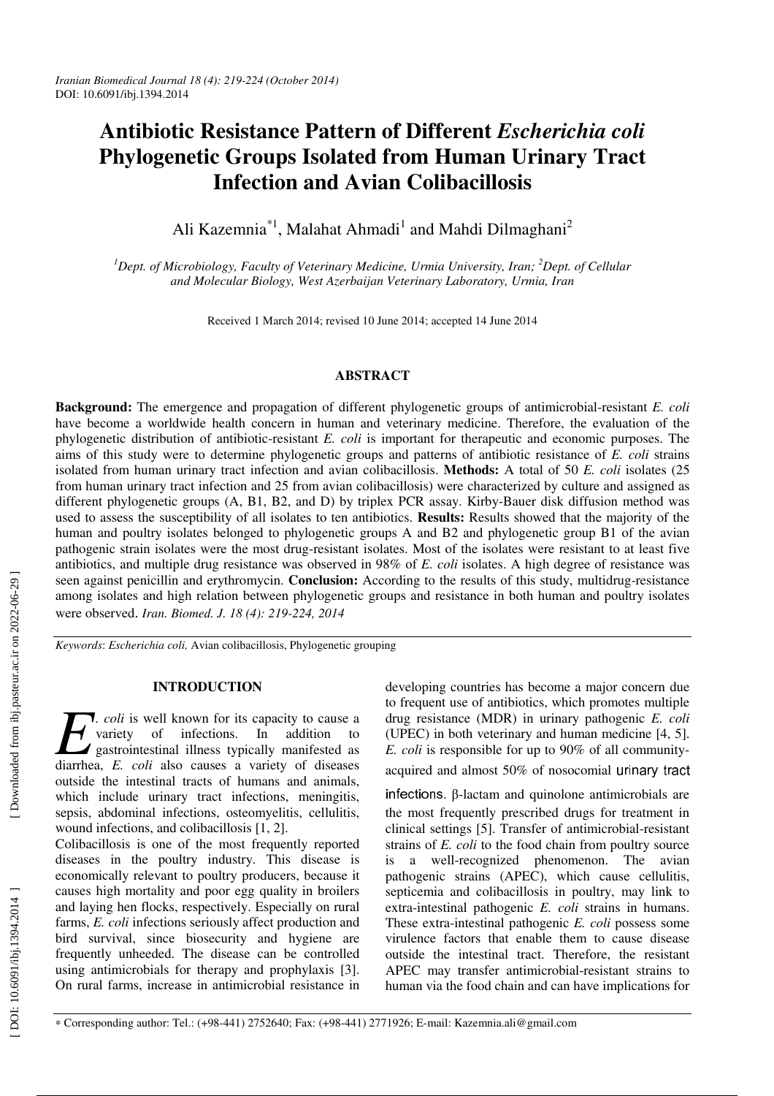# **Antibiotic Resistance Pattern of Different** *Escherichia coli* **Phylogenetic Groups Isolated from Human Urinary Tract Infection and Avian Colibacillosis**

Ali Kazemnia<sup>\*1</sup>, Malahat Ahmadi<sup>1</sup> and Mahdi Dilmaghani<sup>2</sup>

*<sup>1</sup>Dept. of Microbiology, Faculty of Veterinary Medicine, Urmia University, Iran; <sup>2</sup>Dept. of Cellular and Molecular Biology, West Azerbaijan Veterinary Laboratory, Urmia, Iran* 

Received 1 March 2014; revised 10 June 2014; accepted 14 June 2014

## **ABSTRACT**

**Background:** The emergence and propagation of different phylogenetic groups of antimicrobial-resistant *E. coli* have become a worldwide health concern in human and veterinary medicine. Therefore, the evaluation of the phylogenetic distribution of antibiotic-resistant *E. coli* is important for therapeutic and economic purposes. The aims of this study were to determine phylogenetic groups and patterns of antibiotic resistance of *E. coli* strains isolated from human urinary tract infection and avian colibacillosis. **Methods:** A total of 50 *E. coli* isolates (25 from human urinary tract infection and 25 from avian colibacillosis) were characterized by culture and assigned as different phylogenetic groups (A, B1, B2, and D) by triplex PCR assay. Kirby-Bauer disk diffusion method was used to assess the susceptibility of all isolates to ten antibiotics. **Results:** Results showed that the majority of the human and poultry isolates belonged to phylogenetic groups A and B2 and phylogenetic group B1 of the avian pathogenic strain isolates were the most drug-resistant isolates. Most of the isolates were resistant to at least five antibiotics, and multiple drug resistance was observed in 98% of *E. coli* isolates. A high degree of resistance was seen against penicillin and erythromycin. **Conclusion:** According to the results of this study, multidrug-resistance among isolates and high relation between phylogenetic groups and resistance in both human and poultry isolates were observed . *Iran. Biomed. J. 18 (4): 219-224, 2014*

*Keywords*: *Escherichia coli,* Avian colibacillosis, Phylogenetic grouping

## **INTRODUCTION**

**7.** *coli* is well known for its capacity to cause a variety of infections. In addition to gastrointestinal illness typically manifested as *Coli* is well known for its capacity to cause a variety of infections. In addition to gastrointestinal illness typically manifested as diarrhea, *E. coli* also causes a variety of diseases outside the intestinal tracts of humans and animals, which include urinary tract infections, meningitis, sepsis, abdominal infections, osteomyelitis, cellulitis, wound infections, and colibacillosis [1, 2].

Colibacillosis is one of the most frequently reported diseases in the poultry industry. This disease is economically relevant to poultry producers, because it causes high mortality and poor egg quality in broilers and laying hen flocks, respectively. Especially on rural farms, *E. coli* infections seriously affect production and bird survival, since biosecurity and hygiene are frequently unheeded. The disease can be controlled using antimicrobials for therapy and prophylaxis [3]. On rural farms, increase in antimicrobial resistance in

developing countries has become a major concern due to frequent use of antibiotics, which promotes multiple drug resistance (MDR) in urinary pathogenic *E. coli* (UPEC) in both veterinary and human medicine [4, 5]. *E. coli* is responsible for up to 90% of all communityacquired and almost 50% of nosocomial urinary tract

infections. β-lactam and quinolone antimicrobials are the most frequently prescribed drugs for treatment in clinical settings [5]. Transfer of antimicrobial-resistant strains of *E. coli* to the food chain from poultry source is a well-recognized phenomenon. The avian pathogenic strains (APEC), which cause cellulitis, septicemia and colibacillosis in poultry, may link to extra-intestinal pathogenic *E. coli* strains in humans. These extra-intestinal pathogenic *E. coli* possess some virulence factors that enable them to cause disease outside the intestinal tract. Therefore, the resistant APEC may transfer antimicrobial-resistant strains to human via the food chain and can have implications for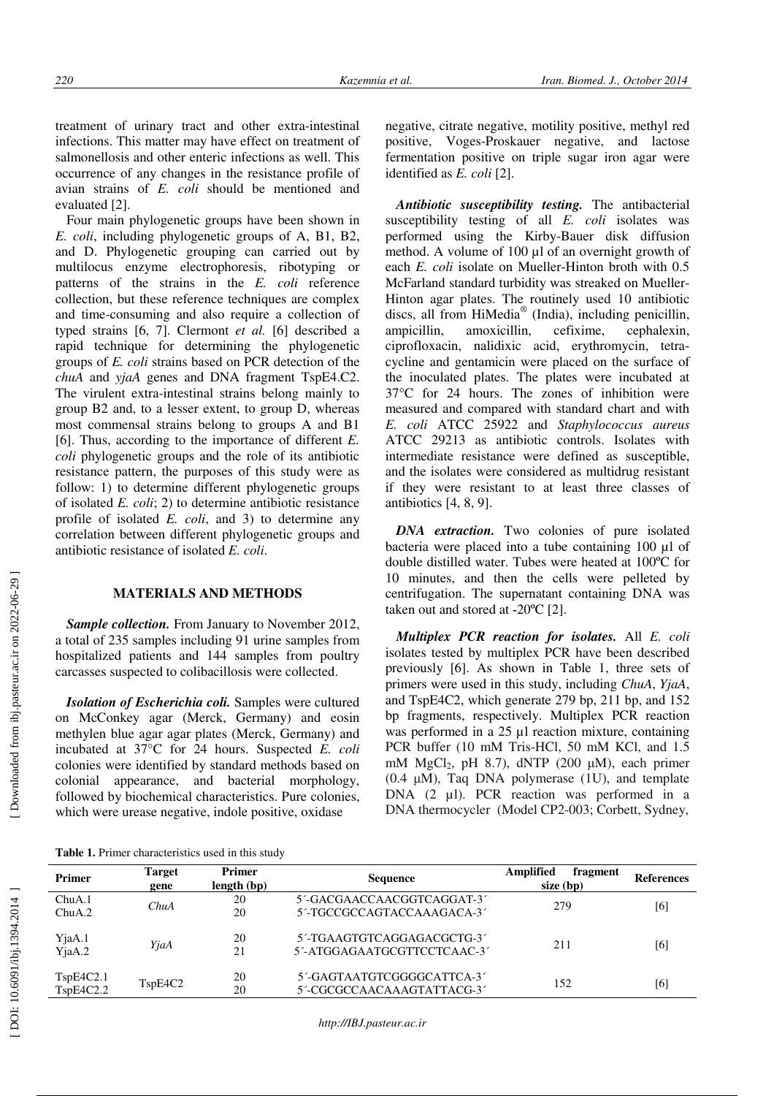treatment of urinary tract and other extra-intestinal infections. This matter may have effect on treatment of salmonellosis and other enteric infections as well. This occurrence of any changes in the resistance profile of avian strains of *E. coli* should be mentioned and evaluated [2].

Four main phylogenetic groups have been shown in *E. coli*, including phylogenetic groups of A, B1, B2, and D. Phylogenetic grouping can carried out by multilocus enzyme electrophoresis, ribotyping or patterns of the strains in the *E. coli* reference collection, but these reference techniques are complex and time-consuming and also require a collection of typed strains [6, 7]. Clermont *et al.* [6] described a rapid technique for determining the phylogenetic groups of *E. coli* strains based on PCR detection of the *chuA* and *yjaA* genes and DNA fragment TspE4.C2. The virulent extra-intestinal strains belong mainly to group B2 and, to a lesser extent, to group D, whereas most commensal strains belong to groups A and B1 [6]. Thus, according to the importance of different *E. coli* phylogenetic groups and the role of its antibiotic resistance pattern, the purposes of this study were as follow: 1) to determine different phylogenetic groups of isolated *E. coli*; 2) to determine antibiotic resistance profile of isolated *E. coli*, and 3) to determine any correlation between different phylogenetic groups and antibiotic resistance of isolated *E. coli*.

# **MATERIALS AND METHODS**

*Sample collection.* From January to November 2012, a total of 235 samples including 91 urine samples from hospitalized patients and 144 samples from poultry carcasses suspected to colibacillosis were collected.

*Isolation of Escherichia coli.* Samples were cultured on McConkey agar (Merck, Germany) and eosin methylen blue agar agar plates (Merck, Germany) and incubated at 37°C for 24 hours. Suspected *E. coli* colonies were identified by standard methods based on colonial appearance, and bacterial morphology, followed by biochemical characteristics. Pure colonies, which were urease negative, indole positive, oxidase

negative, citrate negative, motility positive, methyl red positive, Voges-Proskauer negative, and lactose fermentation positive on triple sugar iron agar were identified as *E. coli* [2].

*Antibiotic susceptibility testing.* The antibacterial susceptibility testing of all *E. coli* isolates was performed using the Kirby-Bauer disk diffusion method. A volume of 100 µl of an overnight growth of each *E. coli* isolate on Mueller-Hinton broth with 0.5 McFarland standard turbidity was streaked on Mueller-Hinton agar plates. The routinely used 10 antibiotic discs, all from HiMedia ® (India), including penicillin, ampicillin, amoxicillin, cefixime, cephalexin, ciprofloxacin, nalidixic acid, erythromycin, tetracycline and gentamicin were placed on the surface of the inoculated plates. The plates were incubated at 37°C for 24 hours. The zones of inhibition were measured and compared with standard chart and with *E. coli* ATCC 25922 and *Staphylococcus aureus* ATCC 29213 as antibiotic controls. Isolates with intermediate resistance were defined as susceptible, and the isolates were considered as multidrug resistant if they were resistant to at least three classes of antibiotics [4, 8, 9].

*DNA extraction.* Two colonies of pure isolated bacteria were placed into a tube containing 100 µl of double distilled water. Tubes were heated at 100ºC for 10 minutes, and then the cells were pelleted by centrifugation. The supernatant containing DNA was taken out and stored at  $-20^{\circ}C$  [2].

*Multiplex PCR reaction for isolates.* All *E. coli* isolates tested by multiplex PCR have been described previously [6]. As shown in Table 1, three sets of primers were used in this study, including *ChuA*, *YjaA*, and TspE4C2, which generate 279 bp, 211 bp, and 152 bp fragments, respectively. Multiplex PCR reaction was performed in a 25 µl reaction mixture, containing PCR buffer (10 mM Tris-HCl, 50 mM KCl, and 1.5 mM MgCl <sup>2</sup>, pH 8.7), dNTP (200 µM), each primer  $(0.4 \mu M)$ , Taq DNA polymerase  $(1U)$ , and template DNA (2 µl). PCR reaction was performed in a DNA thermocycler (Model CP2-003; Corbett, Sydney,

**Table 1.** Primer characteristics used in this study

| <b>Primer</b>          | Target<br>gene                                | <b>Primer</b><br>length (bp) | <b>Sequence</b>                                           | Amplified<br>fragment<br>$size$ (bp) | <b>References</b> |
|------------------------|-----------------------------------------------|------------------------------|-----------------------------------------------------------|--------------------------------------|-------------------|
| ChuA.1<br>ChuA.2       | ChuA                                          | 20<br>20                     | 5'-GACGAACCAACGGTCAGGAT-3'<br>5'-TGCCGCCAGTACCAAAGACA-3'  | 279                                  | [6]               |
| YjaA.1<br>$Y$ jaA.2    | YjaA                                          | 20<br>21                     | 5'-TGAAGTGTCAGGAGACGCTG-3'<br>5'-ATGGAGAATGCGTTCCTCAAC-3' | 211                                  | [6]               |
| TspE4C2.1<br>TspE4C2.2 | T <sub>sp</sub> E <sub>4</sub> C <sub>2</sub> | 20<br>20                     | 5'-GAGTAATGTCGGGGCATTCA-3'<br>5'-CGCGCCAACAAAGTATTACG-3'  | 152                                  | [6]               |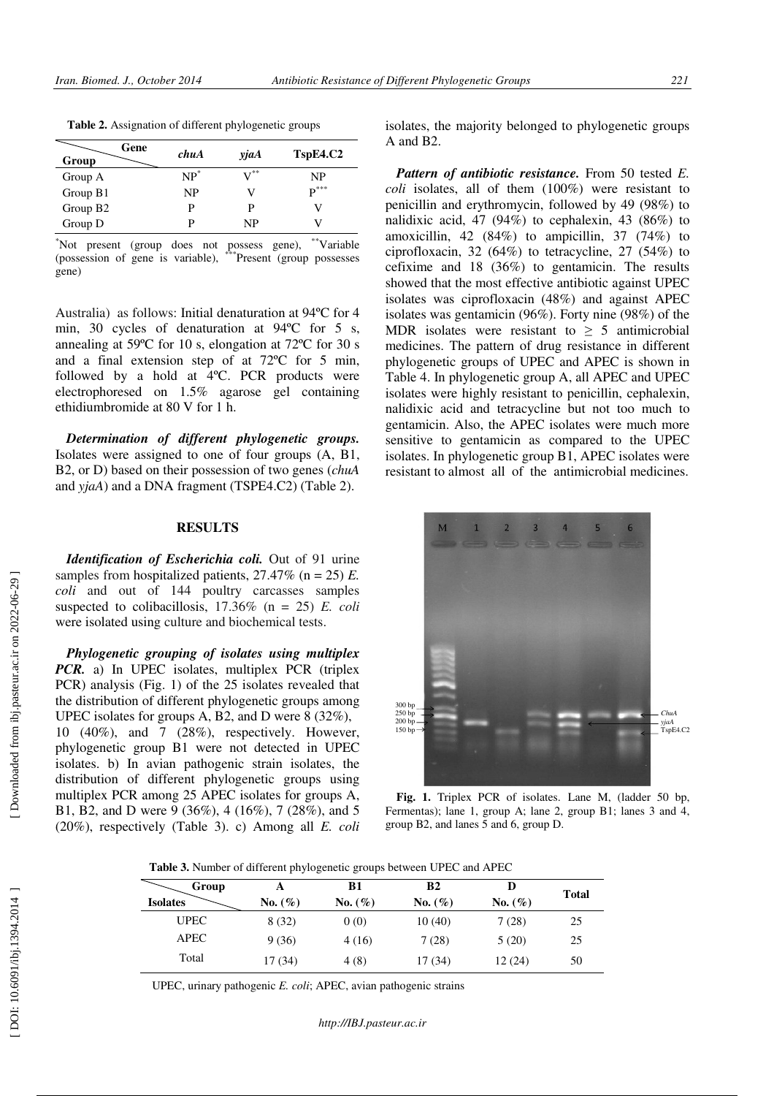| Gene<br>Group        | chuA   | yjaA              | TspE4.C2           |
|----------------------|--------|-------------------|--------------------|
| Group A              | $NP^*$ | $\mathbf{V}^{**}$ | NP                 |
| Group B1             | NP     | V                 | $\mathbf{D}^{***}$ |
| Group B <sub>2</sub> | р      | P                 |                    |
| Group D              | D      | NP                |                    |

\*Not present (group does not possess gene), \*\*Variable (possession of gene is variable), \*\*\*Present (group possesses gene)

Australia) as follows: Initial denaturation at 94ºC for 4 min, 30 cycles of denaturation at 94ºC for 5 s, annealing at 59ºC for 10 s, elongation at 72ºC for 30 s and a final extension step of at 72ºC for 5 min, followed by a hold at 4ºC. PCR products were electrophoresed on 1.5% agarose gel containing ethidiumbromide at 80 V for 1 h.

*Determination of different phylogenetic groups.*  Isolates were assigned to one of four groups (A, B1, B2, or D) based on their possession of two genes (*chuA* and *yjaA*) and a DNA fragment (TSPE4.C2) (Table 2).

#### **RESULTS**

*Identification of Escherichia coli.* Out of 91 urine samples from hospitalized patients, 27.47% (n = 25) *E. coli* and out of 144 poultry carcasses samples suspected to colibacillosis, 17.36% (n = 25) *E. coli* were isolated using culture and biochemical tests.

*Phylogenetic grouping of isolates using multiplex PCR.* a) In UPEC isolates, multiplex PCR (triplex PCR) analysis (Fig. 1) of the 25 isolates revealed that the distribution of different phylogenetic groups among UPEC isolates for groups A, B2, and D were 8 (32%), 10 (40%), and 7 (28%), respectively. However, phylogenetic group B1 were not detected in UPEC isolates. b) In avian pathogenic strain isolates, the distribution of different phylogenetic groups using multiplex PCR among 25 APEC isolates for groups A, B1, B2, and D were 9 (36%), 4 (16%), 7 (28%), and 5 (20%), respectively (Table 3). c) Among all *E. coli* isolates, the majority belonged to phylogenetic groups A and B2.

*Pattern of antibiotic resistance.* From 50 tested *E. coli* isolates, all of them (100%) were resistant to penicillin and erythromycin, followed by 49 (98%) to nalidixic acid, 47 (94%) to cephalexin, 43 (86%) to amoxicillin, 42 (84%) to ampicillin, 37 (74%) to ciprofloxacin, 32 (64%) to tetracycline, 27 (54%) to cefixime and 18 (36%) to gentamicin. The results showed that the most effective antibiotic against UPEC isolates was ciprofloxacin (48%) and against APEC isolates was gentamicin (96%). Forty nine (98%) of the MDR isolates were resistant to  $\geq$  5 antimicrobial medicines. The pattern of drug resistance in different phylogenetic groups of UPEC and APEC is shown in Table 4. In phylogenetic group A, all APEC and UPEC isolates were highly resistant to penicillin, cephalexin, nalidixic acid and tetracycline but not too much to gentamicin. Also, the APEC isolates were much more sensitive to gentamicin as compared to the UPEC isolates. In phylogenetic group B1, APEC isolates were resistant to almost all of the antimicrobial medicines.



**Fig. 1.** Triplex PCR of isolates. Lane M, (ladder 50 bp, Fermentas); lane 1, group A; lane 2, group B1; lanes 3 and 4, group B2, and lanes 5 and 6, group D.

 **Table 3.** Number of different phylogenetic groups between UPEC and APEC

| Group<br><b>Isolates</b> | A<br>No. $(\%)$ | B1<br>No. $(\%)$ | B <sub>2</sub><br>No. $(\% )$ | D<br>No. $(\% )$ | <b>Total</b> |
|--------------------------|-----------------|------------------|-------------------------------|------------------|--------------|
| <b>UPEC</b>              | 8(32)           | 0(0)             | 10(40)                        | 7(28)            | 25           |
| <b>APEC</b>              | 9(36)           | 4(16)            | 7(28)                         | 5(20)            | 25           |
| Total                    | 17 (34)         | 4(8)             | 17 (34)                       | 12(24)           | 50           |

UPEC, urinary pathogenic *E. coli*; APEC, avian pathogenic strains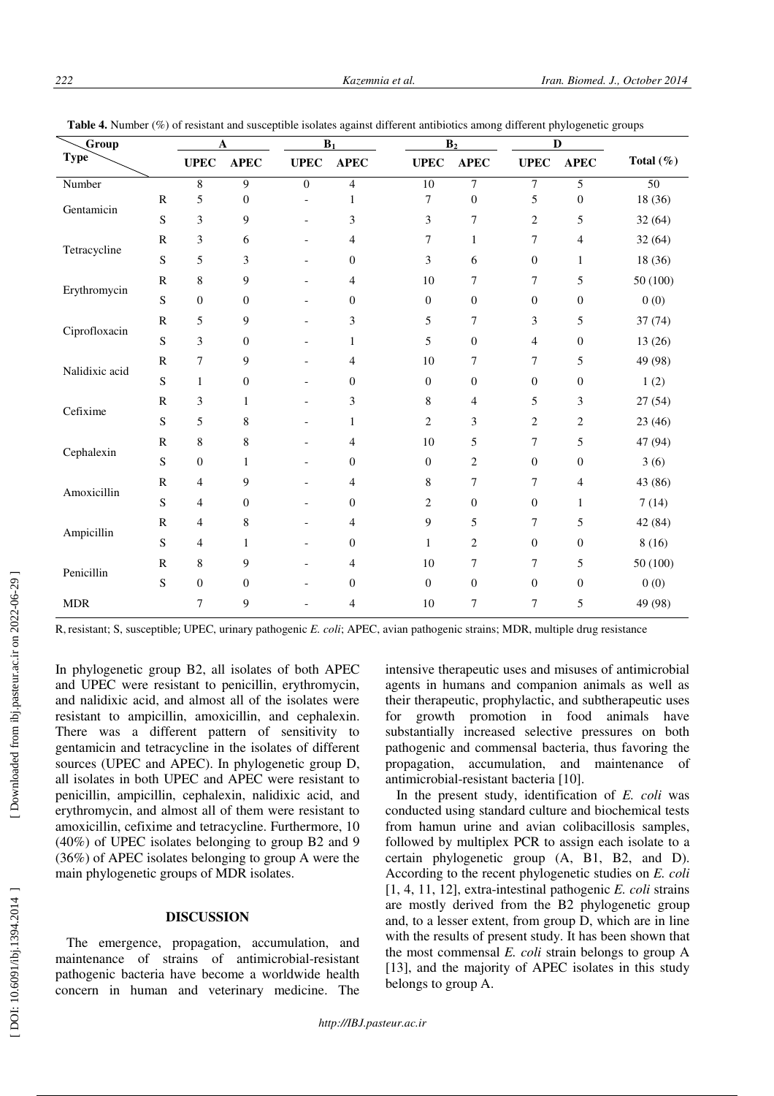| Group          |              | $\mathbf A$      |                  | $\mathbf{B}_1$           |                  | B <sub>2</sub>   |                  | $\mathbf D$      |                  |                 |
|----------------|--------------|------------------|------------------|--------------------------|------------------|------------------|------------------|------------------|------------------|-----------------|
| <b>Type</b>    |              | <b>UPEC</b>      | <b>APEC</b>      | <b>UPEC</b>              | <b>APEC</b>      | <b>UPEC</b>      | <b>APEC</b>      | <b>UPEC</b>      | <b>APEC</b>      | Total $(\%)$    |
| Number         |              | $\overline{8}$   | $\overline{9}$   | $\overline{0}$           | $\overline{4}$   | $\overline{10}$  | $\tau$           | $\tau$           | 5                | $\overline{50}$ |
| Gentamicin     | ${\bf R}$    | 5                | $\boldsymbol{0}$ | $\overline{\phantom{a}}$ | 1                | 7                | $\boldsymbol{0}$ | 5                | $\boldsymbol{0}$ | 18 (36)         |
|                | S            | $\mathfrak{Z}$   | 9                | $\blacksquare$           | $\mathfrak{Z}$   | 3                | $\overline{7}$   | 2                | 5                | 32(64)          |
| Tetracycline   | $\mathbb{R}$ | $\mathfrak{Z}$   | 6                | $\overline{a}$           | 4                | 7                | $\mathbf{1}$     | 7                | 4                | 32(64)          |
|                | S            | 5                | 3                | $\blacksquare$           | $\boldsymbol{0}$ | 3                | 6                | $\mathbf{0}$     | $\mathbf{1}$     | 18 (36)         |
| Erythromycin   | $\mathbb{R}$ | $\,$ 8 $\,$      | 9                |                          | 4                | 10               | 7                | 7                | 5                | 50 (100)        |
|                | S            | $\boldsymbol{0}$ | $\mathbf{0}$     | $\overline{a}$           | $\overline{0}$   | $\overline{0}$   | $\boldsymbol{0}$ | $\boldsymbol{0}$ | $\boldsymbol{0}$ | 0(0)            |
| Ciprofloxacin  | $\mathbb{R}$ | 5                | 9                | $\overline{a}$           | 3                | 5                | 7                | 3                | 5                | 37 (74)         |
|                | S            | 3                | $\boldsymbol{0}$ | $\overline{\phantom{a}}$ | 1                | 5                | $\boldsymbol{0}$ | 4                | $\boldsymbol{0}$ | 13 (26)         |
| Nalidixic acid | $\mathbb{R}$ | 7                | 9                | $\overline{a}$           | 4                | 10               | 7                | 7                | 5                | 49 (98)         |
|                | ${\bf S}$    | $\mathbf{1}$     | 0                | $\overline{\phantom{a}}$ | $\boldsymbol{0}$ | $\boldsymbol{0}$ | $\boldsymbol{0}$ | $\boldsymbol{0}$ | $\boldsymbol{0}$ | 1(2)            |
| Cefixime       | $\mathbb{R}$ | $\mathfrak{Z}$   | 1                | $\overline{\phantom{a}}$ | 3                | 8                | 4                | 5                | 3                | 27 (54)         |
|                | S            | 5                | 8                | $\blacksquare$           | $\mathbf{1}$     | $\overline{2}$   | 3                | 2                | $\overline{c}$   | 23 (46)         |
|                | $\mathbb{R}$ | 8                | 8                | $\overline{a}$           | 4                | 10               | 5                | 7                | 5                | 47 (94)         |
| Cephalexin     | ${\bf S}$    | $\boldsymbol{0}$ | $\mathbf{1}$     | $\overline{a}$           | $\boldsymbol{0}$ | $\boldsymbol{0}$ | $\overline{c}$   | $\mathbf{0}$     | $\boldsymbol{0}$ | 3(6)            |
| Amoxicillin    | ${\bf R}$    | $\overline{4}$   | 9                | $\overline{\phantom{a}}$ | 4                | 8                | 7                | 7                | 4                | 43 (86)         |
|                | ${\bf S}$    | $\overline{4}$   | $\boldsymbol{0}$ | $\overline{a}$           | $\boldsymbol{0}$ | 2                | $\boldsymbol{0}$ | $\boldsymbol{0}$ | 1                | 7(14)           |
| Ampicillin     | $\mathbb{R}$ | $\overline{4}$   | 8                | $\blacksquare$           | 4                | 9                | 5                | 7                | 5                | 42 (84)         |
|                | S            | $\overline{4}$   | 1                |                          | $\boldsymbol{0}$ | $\mathbf{1}$     | 2                | $\mathbf{0}$     | $\boldsymbol{0}$ | 8(16)           |
| Penicillin     | $\mathbf R$  | $\,$ 8 $\,$      | 9                |                          | 4                | 10               | 7                | 7                | 5                | 50 (100)        |
|                | S            | $\boldsymbol{0}$ | $\boldsymbol{0}$ | $\overline{a}$           | $\boldsymbol{0}$ | $\boldsymbol{0}$ | $\boldsymbol{0}$ | $\boldsymbol{0}$ | $\boldsymbol{0}$ | 0(0)            |
| <b>MDR</b>     |              | 7                | 9                |                          | 4                | 10               | 7                | 7                | 5                | 49 (98)         |

**Table 4.** Number (%) of resistant and susceptible isolates against different antibiotics among different phylogenetic groups

R, resistant; S, susceptible; UPEC, urinary pathogenic *E. coli*; APEC, avian pathogenic strains; MDR, multiple drug resistance

In phylogenetic group B2, all isolates of both APEC and UPEC were resistant to penicillin, erythromycin, and nalidixic acid, and almost all of the isolates were resistant to ampicillin, amoxicillin, and cephalexin. There was a different pattern of sensitivity to gentamicin and tetracycline in the isolates of different sources (UPEC and APEC). In phylogenetic group D, all isolates in both UPEC and APEC were resistant to penicillin, ampicillin, cephalexin, nalidixic acid, and erythromycin, and almost all of them were resistant to amoxicillin, cefixime and tetracycline. Furthermore, 10 (40%) of UPEC isolates belonging to group B2 and 9 (36%) of APEC isolates belonging to group A were the main phylogenetic groups of MDR isolates.

## **DISCUSSION**

The emergence, propagation, accumulation, and maintenance of strains of antimicrobial-resistant pathogenic bacteria have become a worldwide health concern in human and veterinary medicine. The intensive therapeutic uses and misuses of antimicrobial agents in humans and companion animals as well as their therapeutic, prophylactic, and subtherapeutic uses for growth promotion in food animals have substantially increased selective pressures on both pathogenic and commensal bacteria, thus favoring the propagation, accumulation, and maintenance of antimicrobial-resistant bacteria [10].

In the present study, identification of *E. coli* was conducted using standard culture and biochemical tests from hamun urine and avian colibacillosis samples, followed by multiplex PCR to assign each isolate to a certain phylogenetic group (A, B1, B2, and D). According to the recent phylogenetic studies on *E. coli*  [1, 4, 11, 12], extra-intestinal pathogenic *E. coli* strains are mostly derived from the B2 phylogenetic group and, to a lesser extent, from group D, which are in line with the results of present study. It has been shown that the most commensal *E. coli* strain belongs to group A [13], and the majority of APEC isolates in this study belongs to group A.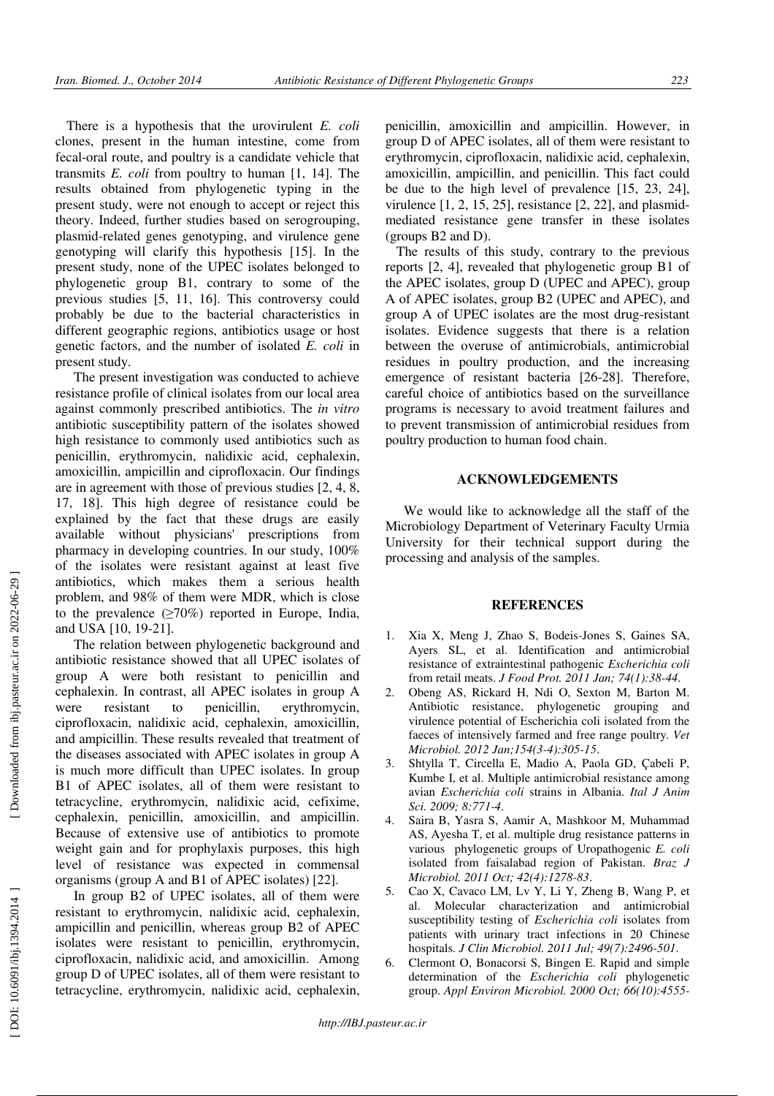There is a hypothesis that the urovirulent *E. coli* clones, present in the human intestine, come from fecal-oral route, and poultry is a candidate vehicle that transmits *E. coli* from poultry to human [1, 14]. The results obtained from phylogenetic typing in the present study, were not enough to accept or reject this theory. Indeed, further studies based on serogrouping, plasmid-related genes genotyping, and virulence gene genotyping will clarify this hypothesis [15]. In the present study, none of the UPEC isolates belonged to phylogenetic group B1, contrary to some of the previous studies [5, 11, 16]. This controversy could probably be due to the bacterial characteristics in different geographic regions, antibiotics usage or host genetic factors, and the number of isolated *E. coli* in present study.

The present investigation was conducted to achieve resistance profile of clinical isolates from our local area against commonly prescribed antibiotics. The *in vitro* antibiotic susceptibility pattern of the isolates showed high resistance to commonly used antibiotics such as penicillin, erythromycin, nalidixic acid, cephalexin, amoxicillin, ampicillin and ciprofloxacin. Our findings are in agreement with those of previous studies [2, 4, 8, 17, 18]. This high degree of resistance could be explained by the fact that these drugs are easily available without physicians' prescriptions from pharmacy in developing countries. In our study, 100% of the isolates were resistant against at least five antibiotics, which makes them a serious health problem, and 98% of them were MDR, which is close to the prevalence  $(\geq 70\%)$  reported in Europe, India, and USA [10, 19-21].

The relation between phylogenetic background and antibiotic resistance showed that all UPEC isolates of group A were both resistant to penicillin and cephalexin. In contrast, all APEC isolates in group A were resistant to penicillin, erythromycin, ciprofloxacin, nalidixic acid, cephalexin, amoxicillin, and ampicillin. These results revealed that treatment of the diseases associated with APEC isolates in group A is much more difficult than UPEC isolates. In group B1 of APEC isolates, all of them were resistant to tetracycline, erythromycin, nalidixic acid, cefixime, cephalexin, penicillin, amoxicillin, and ampicillin. Because of extensive use of antibiotics to promote weight gain and for prophylaxis purposes, this high level of resistance was expected in commensal organisms (group A and B1 of APEC isolates) [22].

In group B2 of UPEC isolates, all of them were resistant to erythromycin, nalidixic acid, cephalexin, ampicillin and penicillin, whereas group B2 of APEC isolates were resistant to penicillin, erythromycin, ciprofloxacin, nalidixic acid, and amoxicillin. Among group D of UPEC isolates, all of them were resistant to tetracycline, erythromycin, nalidixic acid, cephalexin,

penicillin, amoxicillin and ampicillin. However, in group D of APEC isolates, all of them were resistant to erythromycin, ciprofloxacin, nalidixic acid, cephalexin, amoxicillin, ampicillin, and penicillin. This fact could be due to the high level of prevalence [15, 23, 24], virulence [1, 2, 15, 25], resistance [2, 22], and plasmidmediated resistance gene transfer in these isolates (groups B2 and D).

The results of this study, contrary to the previous reports [2, 4], revealed that phylogenetic group B1 of the APEC isolates, group D (UPEC and APEC), group A of APEC isolates, group B2 (UPEC and APEC), and group A of UPEC isolates are the most drug-resistant isolates. Evidence suggests that there is a relation between the overuse of antimicrobials, antimicrobial residues in poultry production, and the increasing emergence of resistant bacteria [26-28]. Therefore, careful choice of antibiotics based on the surveillance programs is necessary to avoid treatment failures and to prevent transmission of antimicrobial residues from poultry production to human food chain.

#### **ACKNOWLEDGEMENTS**

We would like to acknowledge all the staff of the Microbiology Department of Veterinary Faculty Urmia University for their technical support during the processing and analysis of the samples.

## **REFERENCES**

- 1. Xia X, Meng J, Zhao S, Bodeis-Jones S, Gaines SA, Ayers SL, et al. Identification and antimicrobial resistance of extraintestinal pathogenic *Escherichia coli* from retail meats. *J Food Prot. 2011 Jan; 74(1):38-44*.
- 2. Obeng AS, Rickard H, Ndi O, Sexton M, Barton M. Antibiotic resistance, phylogenetic grouping and virulence potential of Escherichia coli isolated from the faeces of intensively farmed and free range poultry. *Vet Microbiol. 2012 Jan;154(3-4):305-15*.
- 3. Shtylla T, Circella E, Madio A, Paola GD, Çabeli P, Kumbe I, et al. Multiple antimicrobial resistance among avian *Escherichia coli* strains in Albania. *Ital J Anim Sci. 2009; 8:771-4*.
- 4. Saira B, Yasra S, Aamir A, Mashkoor M, Muhammad AS, Ayesha T, et al. multiple drug resistance patterns in various phylogenetic groups of Uropathogenic *E. coli* isolated from faisalabad region of Pakistan. *Braz J Microbiol. 2011 Oct; 42(4):1278-83*.
- 5. Cao X, Cavaco LM, Lv Y, Li Y, Zheng B, Wang P, et al. Molecular characterization and antimicrobial susceptibility testing of *Escherichia coli* isolates from patients with urinary tract infections in 20 Chinese hospitals. *J Clin Microbiol. 2011 Jul; 49(7):2496-501*.
- 6. Clermont O, Bonacorsi S, Bingen E. Rapid and simple determination of the *Escherichia coli* phylogenetic group. *Appl Environ Microbiol. 2000 Oct; 66(10):4555-*